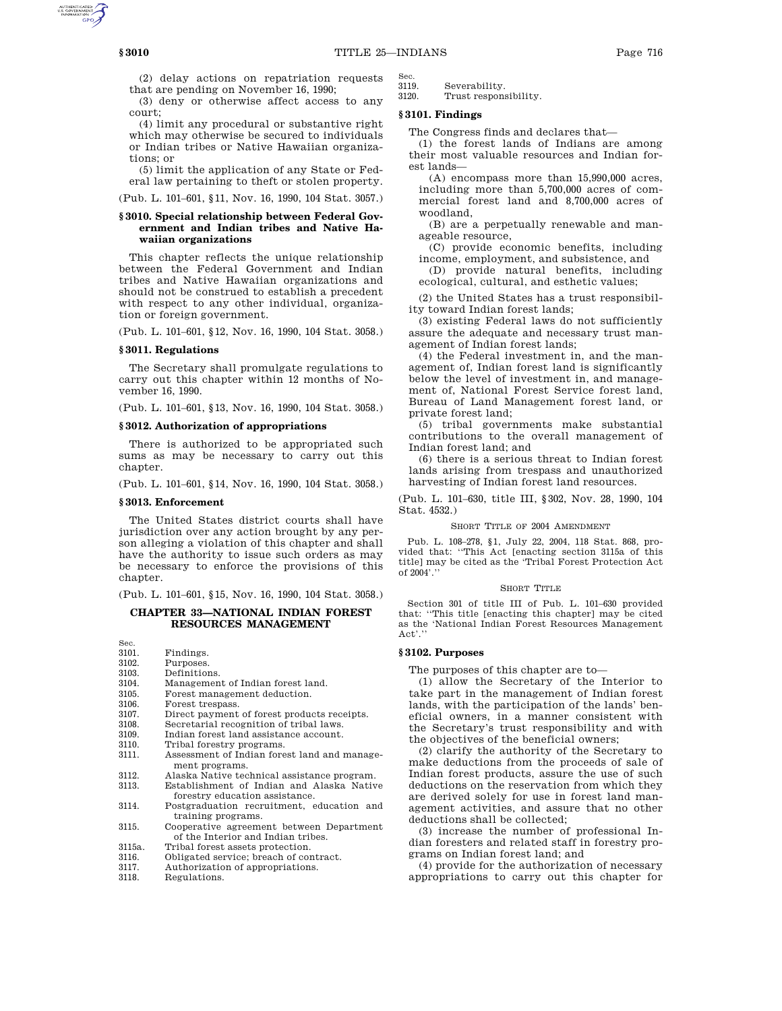(2) delay actions on repatriation requests that are pending on November 16, 1990;

(3) deny or otherwise affect access to any court;

(4) limit any procedural or substantive right which may otherwise be secured to individuals or Indian tribes or Native Hawaiian organizations; or

(5) limit the application of any State or Federal law pertaining to theft or stolen property.

(Pub. L. 101–601, §11, Nov. 16, 1990, 104 Stat. 3057.)

## **§ 3010. Special relationship between Federal Government and Indian tribes and Native Hawaiian organizations**

This chapter reflects the unique relationship between the Federal Government and Indian tribes and Native Hawaiian organizations and should not be construed to establish a precedent with respect to any other individual, organization or foreign government.

(Pub. L. 101–601, §12, Nov. 16, 1990, 104 Stat. 3058.)

## **§ 3011. Regulations**

The Secretary shall promulgate regulations to carry out this chapter within 12 months of November 16, 1990.

(Pub. L. 101–601, §13, Nov. 16, 1990, 104 Stat. 3058.)

### **§ 3012. Authorization of appropriations**

There is authorized to be appropriated such sums as may be necessary to carry out this chapter.

(Pub. L. 101–601, §14, Nov. 16, 1990, 104 Stat. 3058.)

# **§ 3013. Enforcement**

The United States district courts shall have jurisdiction over any action brought by any person alleging a violation of this chapter and shall have the authority to issue such orders as may be necessary to enforce the provisions of this chapter.

(Pub. L. 101–601, §15, Nov. 16, 1990, 104 Stat. 3058.)

# **CHAPTER 33—NATIONAL INDIAN FOREST RESOURCES MANAGEMENT**

Sec. 3101. Findings.<br>3102. Purposes.

- Purposes.
- 
- 3103. Definitions. 3104. Management of Indian forest land.<br>3105. Forest management deduction.
- Forest management deduction.
- 3106. Forest trespass.<br>3107. Direct payment
- 3107. Direct payment of forest products receipts.<br>3108. Secretarial recognition of tribal laws.
- 3108. Secretarial recognition of tribal laws.<br>3109. Indian forest land assistance account.
- 3109. Indian forest land assistance account.<br>3110. Tribal forestry programs.
- 3110. Tribal forestry programs.<br>3111. Assessment of Indian fore
- Assessment of Indian forest land and management programs.
- 3112. Alaska Native technical assistance program. Establishment of Indian and Alaska Native
- forestry education assistance. 3114. Postgraduation recruitment, education and
- training programs.
- 3115. Cooperative agreement between Department of the Interior and Indian tribes.
- 3115a. Tribal forest assets protection.
- 3116. Obligated service; breach of contract.<br>3117. Authorization of appropriations.
- 3117. Authorization of appropriations.<br>3118 Regulations
- Regulations.

Sec.<br>3119

3119. Severability.<br>3120. Trust respons Trust responsibility.

#### **§ 3101. Findings**

The Congress finds and declares that—

(1) the forest lands of Indians are among their most valuable resources and Indian forest lands—

(A) encompass more than 15,990,000 acres, including more than 5,700,000 acres of commercial forest land and 8,700,000 acres of woodland,

(B) are a perpetually renewable and manageable resource,

- (C) provide economic benefits, including income, employment, and subsistence, and
- (D) provide natural benefits, including ecological, cultural, and esthetic values;

(2) the United States has a trust responsibility toward Indian forest lands;

(3) existing Federal laws do not sufficiently assure the adequate and necessary trust management of Indian forest lands;

(4) the Federal investment in, and the management of, Indian forest land is significantly below the level of investment in, and management of, National Forest Service forest land, Bureau of Land Management forest land, or private forest land;

(5) tribal governments make substantial contributions to the overall management of Indian forest land; and

(6) there is a serious threat to Indian forest lands arising from trespass and unauthorized harvesting of Indian forest land resources.

(Pub. L. 101–630, title III, §302, Nov. 28, 1990, 104 Stat. 4532.)

SHORT TITLE OF 2004 AMENDMENT

Pub. L. 108–278, §1, July 22, 2004, 118 Stat. 868, provided that: ''This Act [enacting section 3115a of this title] may be cited as the 'Tribal Forest Protection Act of 2004'.''

#### SHORT TITLE

Section 301 of title III of Pub. L. 101–630 provided that: ''This title [enacting this chapter] may be cited as the 'National Indian Forest Resources Management Act'.'

### **§ 3102. Purposes**

The purposes of this chapter are to—

(1) allow the Secretary of the Interior to take part in the management of Indian forest lands, with the participation of the lands' beneficial owners, in a manner consistent with the Secretary's trust responsibility and with the objectives of the beneficial owners;

(2) clarify the authority of the Secretary to make deductions from the proceeds of sale of Indian forest products, assure the use of such deductions on the reservation from which they are derived solely for use in forest land management activities, and assure that no other deductions shall be collected;

(3) increase the number of professional Indian foresters and related staff in forestry programs on Indian forest land; and

(4) provide for the authorization of necessary appropriations to carry out this chapter for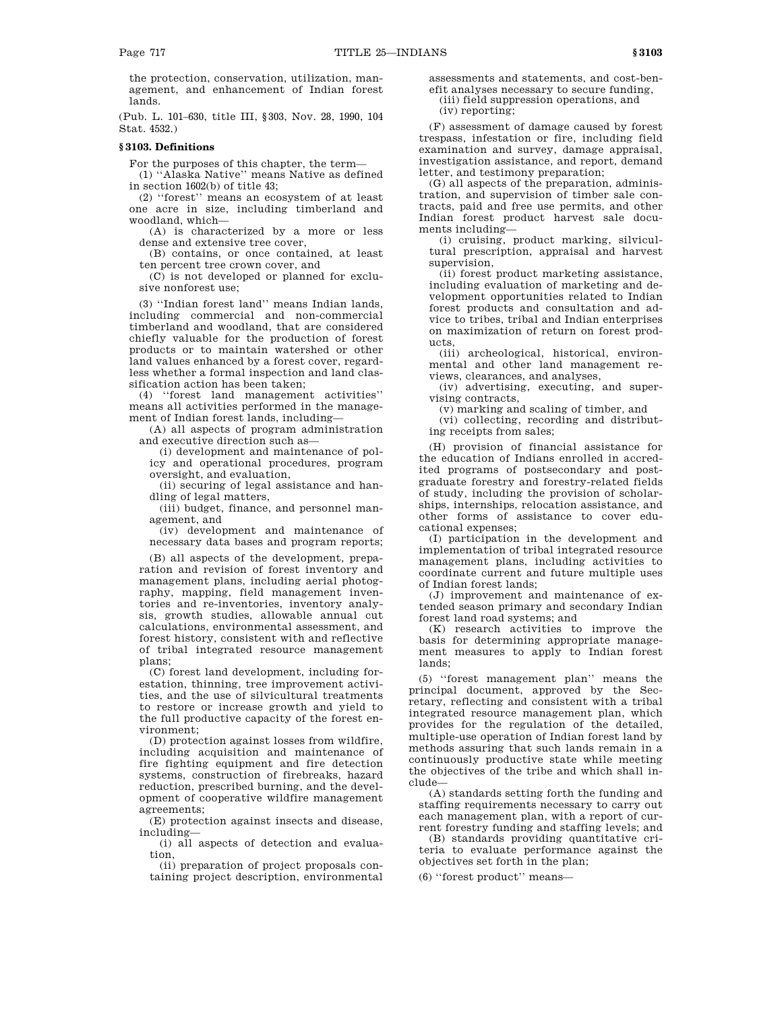the protection, conservation, utilization, management, and enhancement of Indian forest lands.

(Pub. L. 101–630, title III, §303, Nov. 28, 1990, 104 Stat. 4532.)

## **§ 3103. Definitions**

For the purposes of this chapter, the term—

(1) ''Alaska Native'' means Native as defined in section 1602(b) of title 43;

(2) ''forest'' means an ecosystem of at least one acre in size, including timberland and woodland, which—

(A) is characterized by a more or less dense and extensive tree cover,

(B) contains, or once contained, at least ten percent tree crown cover, and

(C) is not developed or planned for exclusive nonforest use;

(3) ''Indian forest land'' means Indian lands, including commercial and non-commercial timberland and woodland, that are considered chiefly valuable for the production of forest products or to maintain watershed or other land values enhanced by a forest cover, regardless whether a formal inspection and land classification action has been taken;

(4) ''forest land management activities'' means all activities performed in the management of Indian forest lands, including—

(A) all aspects of program administration and executive direction such as—

(i) development and maintenance of policy and operational procedures, program oversight, and evaluation,

(ii) securing of legal assistance and handling of legal matters,

(iii) budget, finance, and personnel management, and

(iv) development and maintenance of necessary data bases and program reports;

(B) all aspects of the development, preparation and revision of forest inventory and management plans, including aerial photography, mapping, field management inventories and re-inventories, inventory analysis, growth studies, allowable annual cut calculations, environmental assessment, and forest history, consistent with and reflective of tribal integrated resource management plans;

(C) forest land development, including forestation, thinning, tree improvement activities, and the use of silvicultural treatments to restore or increase growth and yield to the full productive capacity of the forest environment;

(D) protection against losses from wildfire, including acquisition and maintenance of fire fighting equipment and fire detection systems, construction of firebreaks, hazard reduction, prescribed burning, and the development of cooperative wildfire management agreements;

(E) protection against insects and disease, including—

(i) all aspects of detection and evaluation,

(ii) preparation of project proposals containing project description, environmental assessments and statements, and cost-benefit analyses necessary to secure funding, (iii) field suppression operations, and (iv) reporting;

(F) assessment of damage caused by forest trespass, infestation or fire, including field examination and survey, damage appraisal, investigation assistance, and report, demand letter, and testimony preparation;

(G) all aspects of the preparation, administration, and supervision of timber sale contracts, paid and free use permits, and other Indian forest product harvest sale documents including—

(i) cruising, product marking, silvicultural prescription, appraisal and harvest supervision,

(ii) forest product marketing assistance, including evaluation of marketing and development opportunities related to Indian forest products and consultation and advice to tribes, tribal and Indian enterprises on maximization of return on forest products,

(iii) archeological, historical, environmental and other land management reviews, clearances, and analyses,

(iv) advertising, executing, and supervising contracts,

(v) marking and scaling of timber, and

(vi) collecting, recording and distributing receipts from sales;

(H) provision of financial assistance for the education of Indians enrolled in accredited programs of postsecondary and postgraduate forestry and forestry-related fields of study, including the provision of scholarships, internships, relocation assistance, and other forms of assistance to cover educational expenses;

(I) participation in the development and implementation of tribal integrated resource management plans, including activities to coordinate current and future multiple uses of Indian forest lands;

(J) improvement and maintenance of extended season primary and secondary Indian forest land road systems; and

(K) research activities to improve the basis for determining appropriate management measures to apply to Indian forest lands;

(5) ''forest management plan'' means the principal document, approved by the Secretary, reflecting and consistent with a tribal integrated resource management plan, which provides for the regulation of the detailed, multiple-use operation of Indian forest land by methods assuring that such lands remain in a continuously productive state while meeting the objectives of the tribe and which shall include—

(A) standards setting forth the funding and staffing requirements necessary to carry out each management plan, with a report of current forestry funding and staffing levels; and

(B) standards providing quantitative criteria to evaluate performance against the objectives set forth in the plan;

(6) ''forest product'' means—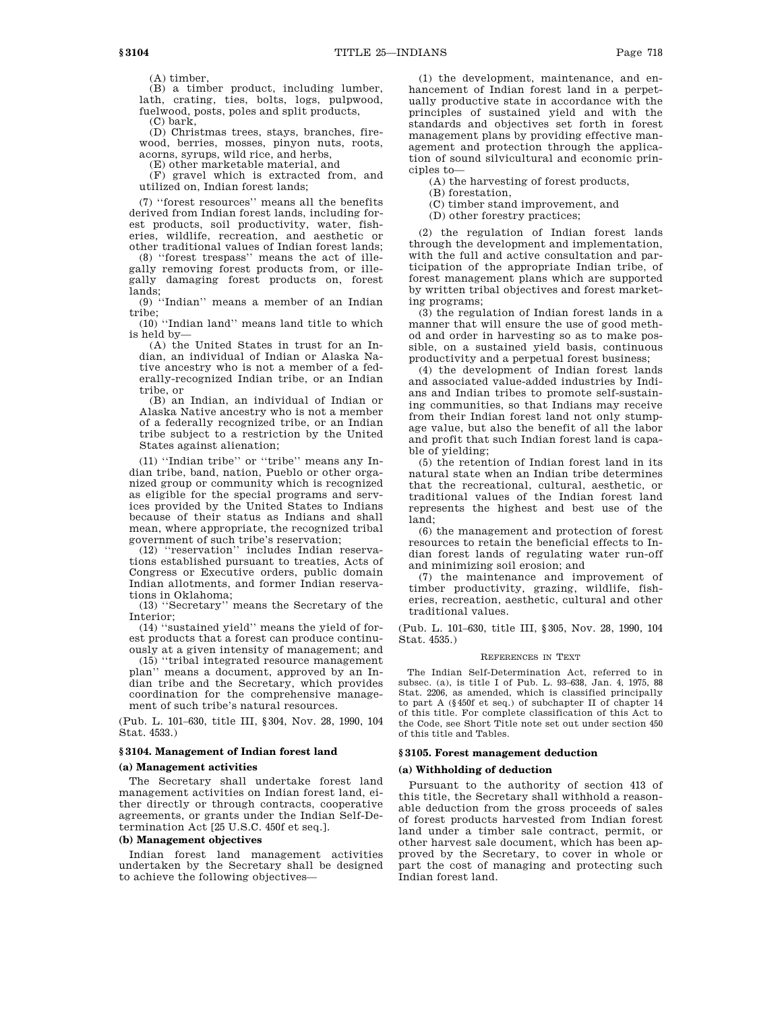(A) timber, (B) a timber product, including lumber, lath, crating, ties, bolts, logs, pulpwood, fuelwood, posts, poles and split products,

(C) bark,

(D) Christmas trees, stays, branches, firewood, berries, mosses, pinyon nuts, roots, acorns, syrups, wild rice, and herbs,

(E) other marketable material, and

(F) gravel which is extracted from, and utilized on, Indian forest lands;

(7) ''forest resources'' means all the benefits derived from Indian forest lands, including forest products, soil productivity, water, fisheries, wildlife, recreation, and aesthetic or other traditional values of Indian forest lands;

(8) ''forest trespass'' means the act of illegally removing forest products from, or illegally damaging forest products on, forest lands;

(9) ''Indian'' means a member of an Indian tribe;

(10) ''Indian land'' means land title to which is held by—

(A) the United States in trust for an Indian, an individual of Indian or Alaska Native ancestry who is not a member of a federally-recognized Indian tribe, or an Indian tribe, or

(B) an Indian, an individual of Indian or Alaska Native ancestry who is not a member of a federally recognized tribe, or an Indian tribe subject to a restriction by the United States against alienation;

(11) ''Indian tribe'' or ''tribe'' means any Indian tribe, band, nation, Pueblo or other organized group or community which is recognized as eligible for the special programs and services provided by the United States to Indians because of their status as Indians and shall mean, where appropriate, the recognized tribal government of such tribe's reservation;

(12) ''reservation'' includes Indian reservations established pursuant to treaties, Acts of Congress or Executive orders, public domain Indian allotments, and former Indian reservations in Oklahoma;

(13) ''Secretary'' means the Secretary of the Interior;

(14) ''sustained yield'' means the yield of forest products that a forest can produce continuously at a given intensity of management; and

(15) ''tribal integrated resource management plan'' means a document, approved by an Indian tribe and the Secretary, which provides coordination for the comprehensive management of such tribe's natural resources.

(Pub. L. 101–630, title III, §304, Nov. 28, 1990, 104 Stat. 4533.)

# **§ 3104. Management of Indian forest land**

### **(a) Management activities**

The Secretary shall undertake forest land management activities on Indian forest land, either directly or through contracts, cooperative agreements, or grants under the Indian Self-Determination Act [25 U.S.C. 450f et seq.].

# **(b) Management objectives**

Indian forest land management activities undertaken by the Secretary shall be designed to achieve the following objectives—

(1) the development, maintenance, and enhancement of Indian forest land in a perpetually productive state in accordance with the principles of sustained yield and with the standards and objectives set forth in forest management plans by providing effective management and protection through the application of sound silvicultural and economic principles to—

(A) the harvesting of forest products,

(B) forestation,

(C) timber stand improvement, and

(D) other forestry practices;

(2) the regulation of Indian forest lands through the development and implementation, with the full and active consultation and participation of the appropriate Indian tribe, of forest management plans which are supported by written tribal objectives and forest marketing programs;

(3) the regulation of Indian forest lands in a manner that will ensure the use of good method and order in harvesting so as to make possible, on a sustained yield basis, continuous productivity and a perpetual forest business;

(4) the development of Indian forest lands and associated value-added industries by Indians and Indian tribes to promote self-sustaining communities, so that Indians may receive from their Indian forest land not only stumpage value, but also the benefit of all the labor and profit that such Indian forest land is capable of yielding;

(5) the retention of Indian forest land in its natural state when an Indian tribe determines that the recreational, cultural, aesthetic, or traditional values of the Indian forest land represents the highest and best use of the land;

(6) the management and protection of forest resources to retain the beneficial effects to Indian forest lands of regulating water run-off and minimizing soil erosion; and

(7) the maintenance and improvement of timber productivity, grazing, wildlife, fisheries, recreation, aesthetic, cultural and other traditional values.

(Pub. L. 101–630, title III, §305, Nov. 28, 1990, 104 Stat. 4535.)

#### REFERENCES IN TEXT

The Indian Self-Determination Act, referred to in subsec. (a), is title I of Pub. L. 93–638, Jan. 4, 1975, 88 Stat. 2206, as amended, which is classified principally to part A (§450f et seq.) of subchapter II of chapter 14 of this title. For complete classification of this Act to the Code, see Short Title note set out under section 450 of this title and Tables.

### **§ 3105. Forest management deduction**

# **(a) Withholding of deduction**

Pursuant to the authority of section 413 of this title, the Secretary shall withhold a reasonable deduction from the gross proceeds of sales of forest products harvested from Indian forest land under a timber sale contract, permit, or other harvest sale document, which has been approved by the Secretary, to cover in whole or part the cost of managing and protecting such Indian forest land.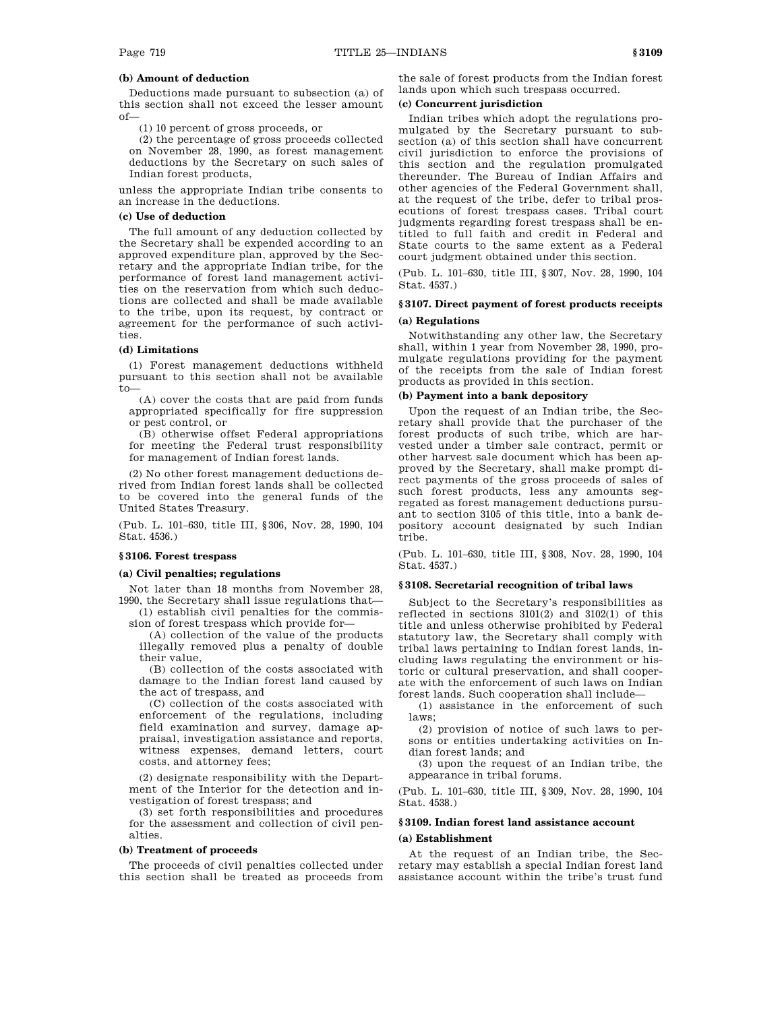# **(b) Amount of deduction**

Deductions made pursuant to subsection (a) of this section shall not exceed the lesser amount  $of$ 

(1) 10 percent of gross proceeds, or

(2) the percentage of gross proceeds collected on November 28, 1990, as forest management deductions by the Secretary on such sales of Indian forest products,

unless the appropriate Indian tribe consents to an increase in the deductions.

# **(c) Use of deduction**

The full amount of any deduction collected by the Secretary shall be expended according to an approved expenditure plan, approved by the Secretary and the appropriate Indian tribe, for the performance of forest land management activities on the reservation from which such deductions are collected and shall be made available to the tribe, upon its request, by contract or agreement for the performance of such activities.

## **(d) Limitations**

(1) Forest management deductions withheld pursuant to this section shall not be available to—

(A) cover the costs that are paid from funds appropriated specifically for fire suppression or pest control, or

(B) otherwise offset Federal appropriations for meeting the Federal trust responsibility for management of Indian forest lands.

(2) No other forest management deductions derived from Indian forest lands shall be collected to be covered into the general funds of the United States Treasury.

(Pub. L. 101–630, title III, §306, Nov. 28, 1990, 104 Stat. 4536.)

## **§ 3106. Forest trespass**

## **(a) Civil penalties; regulations**

Not later than 18 months from November 28, 1990, the Secretary shall issue regulations that—

(1) establish civil penalties for the commission of forest trespass which provide for—

(A) collection of the value of the products illegally removed plus a penalty of double their value,

(B) collection of the costs associated with damage to the Indian forest land caused by the act of trespass, and

(C) collection of the costs associated with enforcement of the regulations, including field examination and survey, damage appraisal, investigation assistance and reports, witness expenses, demand letters, court costs, and attorney fees;

(2) designate responsibility with the Department of the Interior for the detection and investigation of forest trespass; and

(3) set forth responsibilities and procedures for the assessment and collection of civil penalties.

### **(b) Treatment of proceeds**

The proceeds of civil penalties collected under this section shall be treated as proceeds from

the sale of forest products from the Indian forest lands upon which such trespass occurred.

# **(c) Concurrent jurisdiction**

Indian tribes which adopt the regulations promulgated by the Secretary pursuant to subsection (a) of this section shall have concurrent civil jurisdiction to enforce the provisions of this section and the regulation promulgated thereunder. The Bureau of Indian Affairs and other agencies of the Federal Government shall, at the request of the tribe, defer to tribal prosecutions of forest trespass cases. Tribal court judgments regarding forest trespass shall be entitled to full faith and credit in Federal and State courts to the same extent as a Federal court judgment obtained under this section.

(Pub. L. 101–630, title III, §307, Nov. 28, 1990, 104 Stat. 4537.)

# **§ 3107. Direct payment of forest products receipts**

# **(a) Regulations**

Notwithstanding any other law, the Secretary shall, within 1 year from November 28, 1990, promulgate regulations providing for the payment of the receipts from the sale of Indian forest products as provided in this section.

# **(b) Payment into a bank depository**

Upon the request of an Indian tribe, the Secretary shall provide that the purchaser of the forest products of such tribe, which are harvested under a timber sale contract, permit or other harvest sale document which has been approved by the Secretary, shall make prompt direct payments of the gross proceeds of sales of such forest products, less any amounts segregated as forest management deductions pursuant to section 3105 of this title, into a bank depository account designated by such Indian tribe.

(Pub. L. 101–630, title III, §308, Nov. 28, 1990, 104 Stat. 4537.)

#### **§ 3108. Secretarial recognition of tribal laws**

Subject to the Secretary's responsibilities as reflected in sections 3101(2) and 3102(1) of this title and unless otherwise prohibited by Federal statutory law, the Secretary shall comply with tribal laws pertaining to Indian forest lands, including laws regulating the environment or historic or cultural preservation, and shall cooperate with the enforcement of such laws on Indian forest lands. Such cooperation shall include—

(1) assistance in the enforcement of such laws;

(2) provision of notice of such laws to persons or entities undertaking activities on Indian forest lands; and

(3) upon the request of an Indian tribe, the appearance in tribal forums.

(Pub. L. 101–630, title III, §309, Nov. 28, 1990, 104 Stat. 4538.)

# **§ 3109. Indian forest land assistance account**

### **(a) Establishment**

At the request of an Indian tribe, the Secretary may establish a special Indian forest land assistance account within the tribe's trust fund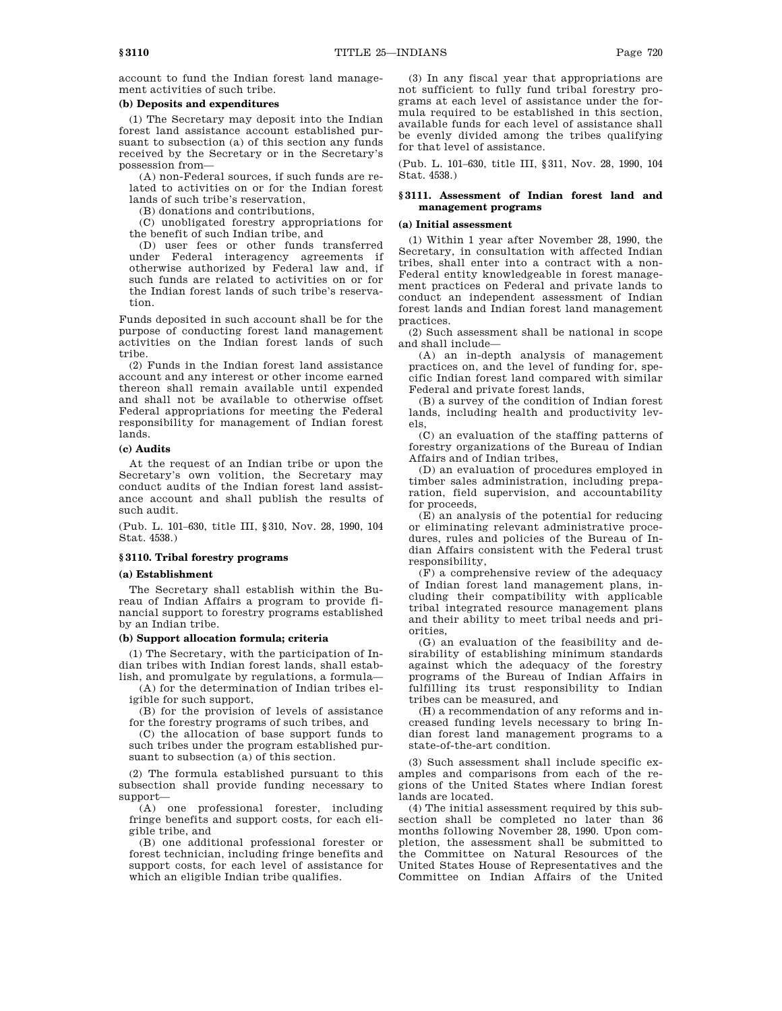account to fund the Indian forest land management activities of such tribe.

# **(b) Deposits and expenditures**

(1) The Secretary may deposit into the Indian forest land assistance account established pursuant to subsection (a) of this section any funds received by the Secretary or in the Secretary's possession from—

(A) non-Federal sources, if such funds are related to activities on or for the Indian forest lands of such tribe's reservation,

(B) donations and contributions,

(C) unobligated forestry appropriations for the benefit of such Indian tribe, and

(D) user fees or other funds transferred under Federal interagency agreements if otherwise authorized by Federal law and, if such funds are related to activities on or for the Indian forest lands of such tribe's reservation.

Funds deposited in such account shall be for the purpose of conducting forest land management activities on the Indian forest lands of such tribe.

(2) Funds in the Indian forest land assistance account and any interest or other income earned thereon shall remain available until expended and shall not be available to otherwise offset Federal appropriations for meeting the Federal responsibility for management of Indian forest lands.

# **(c) Audits**

At the request of an Indian tribe or upon the Secretary's own volition, the Secretary may conduct audits of the Indian forest land assistance account and shall publish the results of such audit.

(Pub. L. 101–630, title III, §310, Nov. 28, 1990, 104 Stat. 4538.)

# **§ 3110. Tribal forestry programs**

#### **(a) Establishment**

The Secretary shall establish within the Bureau of Indian Affairs a program to provide financial support to forestry programs established by an Indian tribe.

### **(b) Support allocation formula; criteria**

(1) The Secretary, with the participation of Indian tribes with Indian forest lands, shall establish, and promulgate by regulations, a formula—

(A) for the determination of Indian tribes eligible for such support,

(B) for the provision of levels of assistance for the forestry programs of such tribes, and

(C) the allocation of base support funds to such tribes under the program established pursuant to subsection (a) of this section.

(2) The formula established pursuant to this subsection shall provide funding necessary to support—

(A) one professional forester, including fringe benefits and support costs, for each eligible tribe, and

(B) one additional professional forester or forest technician, including fringe benefits and support costs, for each level of assistance for which an eligible Indian tribe qualifies.

(3) In any fiscal year that appropriations are not sufficient to fully fund tribal forestry programs at each level of assistance under the formula required to be established in this section, available funds for each level of assistance shall be evenly divided among the tribes qualifying for that level of assistance.

(Pub. L. 101–630, title III, §311, Nov. 28, 1990, 104 Stat. 4538.)

# **§ 3111. Assessment of Indian forest land and management programs**

### **(a) Initial assessment**

(1) Within 1 year after November 28, 1990, the Secretary, in consultation with affected Indian tribes, shall enter into a contract with a non-Federal entity knowledgeable in forest management practices on Federal and private lands to conduct an independent assessment of Indian forest lands and Indian forest land management practices.

(2) Such assessment shall be national in scope and shall include—

(A) an in-depth analysis of management practices on, and the level of funding for, specific Indian forest land compared with similar Federal and private forest lands,

(B) a survey of the condition of Indian forest lands, including health and productivity levels,

(C) an evaluation of the staffing patterns of forestry organizations of the Bureau of Indian Affairs and of Indian tribes,

(D) an evaluation of procedures employed in timber sales administration, including preparation, field supervision, and accountability for proceeds,

(E) an analysis of the potential for reducing or eliminating relevant administrative procedures, rules and policies of the Bureau of Indian Affairs consistent with the Federal trust responsibility,

(F) a comprehensive review of the adequacy of Indian forest land management plans, including their compatibility with applicable tribal integrated resource management plans and their ability to meet tribal needs and priorities,

(G) an evaluation of the feasibility and desirability of establishing minimum standards against which the adequacy of the forestry programs of the Bureau of Indian Affairs in fulfilling its trust responsibility to Indian tribes can be measured, and

(H) a recommendation of any reforms and increased funding levels necessary to bring Indian forest land management programs to a state-of-the-art condition.

(3) Such assessment shall include specific examples and comparisons from each of the regions of the United States where Indian forest lands are located.

(4) The initial assessment required by this subsection shall be completed no later than 36 months following November 28, 1990. Upon completion, the assessment shall be submitted to the Committee on Natural Resources of the United States House of Representatives and the Committee on Indian Affairs of the United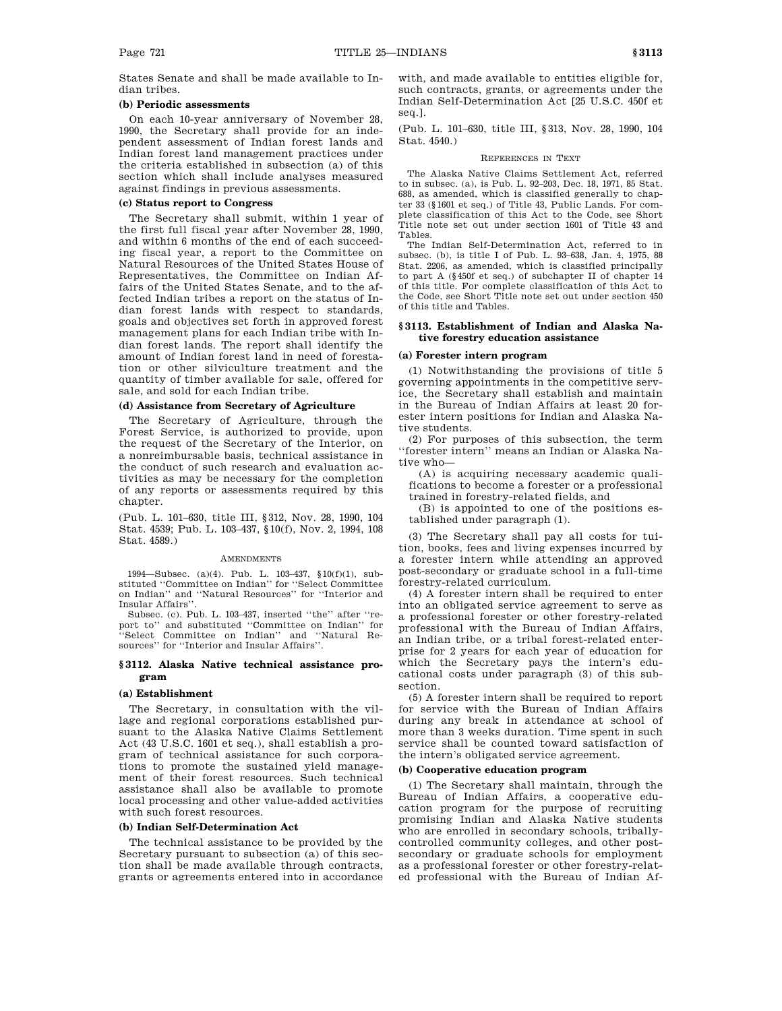States Senate and shall be made available to Indian tribes.

# **(b) Periodic assessments**

On each 10-year anniversary of November 28, 1990, the Secretary shall provide for an independent assessment of Indian forest lands and Indian forest land management practices under the criteria established in subsection (a) of this section which shall include analyses measured against findings in previous assessments.

### **(c) Status report to Congress**

The Secretary shall submit, within 1 year of the first full fiscal year after November 28, 1990, and within 6 months of the end of each succeeding fiscal year, a report to the Committee on Natural Resources of the United States House of Representatives, the Committee on Indian Affairs of the United States Senate, and to the affected Indian tribes a report on the status of Indian forest lands with respect to standards, goals and objectives set forth in approved forest management plans for each Indian tribe with Indian forest lands. The report shall identify the amount of Indian forest land in need of forestation or other silviculture treatment and the quantity of timber available for sale, offered for sale, and sold for each Indian tribe.

# **(d) Assistance from Secretary of Agriculture**

The Secretary of Agriculture, through the Forest Service, is authorized to provide, upon the request of the Secretary of the Interior, on a nonreimbursable basis, technical assistance in the conduct of such research and evaluation activities as may be necessary for the completion of any reports or assessments required by this chapter.

(Pub. L. 101–630, title III, §312, Nov. 28, 1990, 104 Stat. 4539; Pub. L. 103–437, §10(f), Nov. 2, 1994, 108 Stat. 4589.)

#### **AMENDMENTS**

1994—Subsec. (a)(4). Pub. L. 103–437, §10(f)(1), substituted ''Committee on Indian'' for ''Select Committee on Indian'' and ''Natural Resources'' for ''Interior and Insular Affairs''.

Subsec. (c). Pub. L. 103–437, inserted ''the'' after ''report to'' and substituted ''Committee on Indian'' for ''Select Committee on Indian'' and ''Natural Resources'' for ''Interior and Insular Affairs''.

### **§ 3112. Alaska Native technical assistance program**

### **(a) Establishment**

The Secretary, in consultation with the village and regional corporations established pursuant to the Alaska Native Claims Settlement Act (43 U.S.C. 1601 et seq.), shall establish a program of technical assistance for such corporations to promote the sustained yield management of their forest resources. Such technical assistance shall also be available to promote local processing and other value-added activities with such forest resources.

### **(b) Indian Self-Determination Act**

The technical assistance to be provided by the Secretary pursuant to subsection (a) of this section shall be made available through contracts, grants or agreements entered into in accordance with, and made available to entities eligible for, such contracts, grants, or agreements under the Indian Self-Determination Act [25 U.S.C. 450f et seq.].

(Pub. L. 101–630, title III, §313, Nov. 28, 1990, 104 Stat. 4540.)

#### REFERENCES IN TEXT

The Alaska Native Claims Settlement Act, referred to in subsec. (a), is Pub. L. 92–203, Dec. 18, 1971, 85 Stat. 688, as amended, which is classified generally to chapter 33 (§1601 et seq.) of Title 43, Public Lands. For complete classification of this Act to the Code, see Short Title note set out under section 1601 of Title 43 and Tables.

The Indian Self-Determination Act, referred to in subsec. (b), is title I of Pub. L. 93–638, Jan. 4, 1975, 88 Stat. 2206, as amended, which is classified principally to part A (§450f et seq.) of subchapter II of chapter 14 of this title. For complete classification of this Act to the Code, see Short Title note set out under section 450 of this title and Tables.

# **§ 3113. Establishment of Indian and Alaska Native forestry education assistance**

### **(a) Forester intern program**

(1) Notwithstanding the provisions of title 5 governing appointments in the competitive service, the Secretary shall establish and maintain in the Bureau of Indian Affairs at least 20 forester intern positions for Indian and Alaska Native students.

(2) For purposes of this subsection, the term ''forester intern'' means an Indian or Alaska Native who—

(A) is acquiring necessary academic qualifications to become a forester or a professional trained in forestry-related fields, and

(B) is appointed to one of the positions established under paragraph (1).

(3) The Secretary shall pay all costs for tuition, books, fees and living expenses incurred by a forester intern while attending an approved post-secondary or graduate school in a full-time forestry-related curriculum.

(4) A forester intern shall be required to enter into an obligated service agreement to serve as a professional forester or other forestry-related professional with the Bureau of Indian Affairs, an Indian tribe, or a tribal forest-related enterprise for 2 years for each year of education for which the Secretary pays the intern's educational costs under paragraph (3) of this subsection.

(5) A forester intern shall be required to report for service with the Bureau of Indian Affairs during any break in attendance at school of more than 3 weeks duration. Time spent in such service shall be counted toward satisfaction of the intern's obligated service agreement.

# **(b) Cooperative education program**

(1) The Secretary shall maintain, through the Bureau of Indian Affairs, a cooperative education program for the purpose of recruiting promising Indian and Alaska Native students who are enrolled in secondary schools, triballycontrolled community colleges, and other postsecondary or graduate schools for employment as a professional forester or other forestry-related professional with the Bureau of Indian Af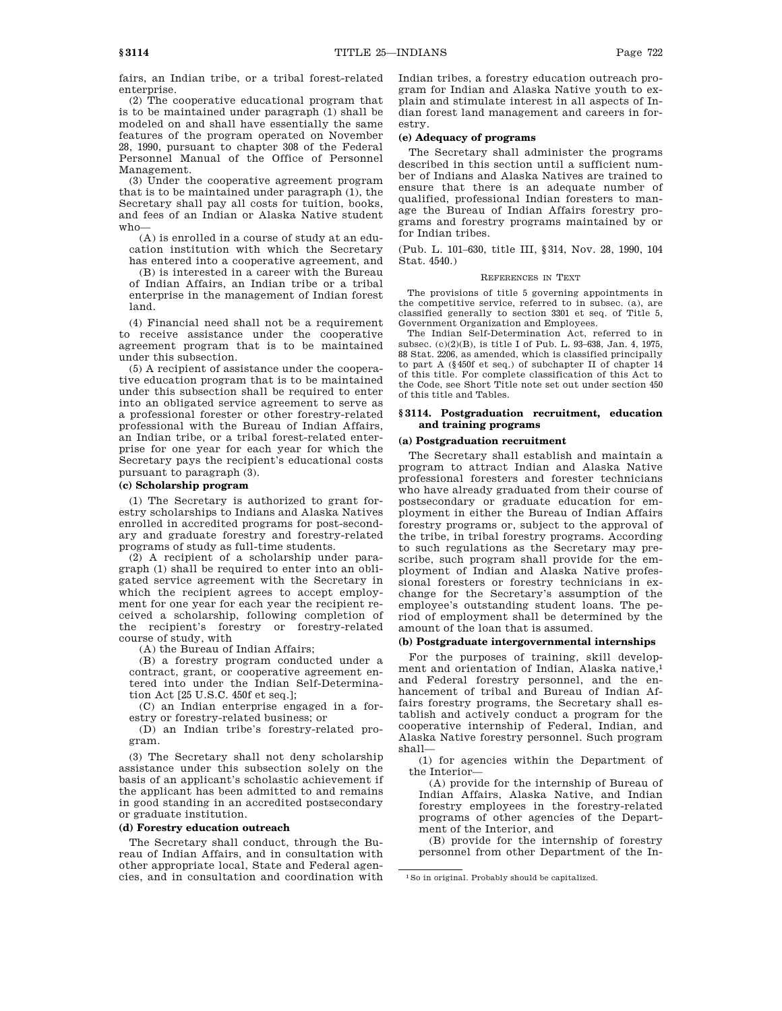fairs, an Indian tribe, or a tribal forest-related enterprise.

(2) The cooperative educational program that is to be maintained under paragraph (1) shall be modeled on and shall have essentially the same features of the program operated on November 28, 1990, pursuant to chapter 308 of the Federal Personnel Manual of the Office of Personnel Management.

(3) Under the cooperative agreement program that is to be maintained under paragraph (1), the Secretary shall pay all costs for tuition, books, and fees of an Indian or Alaska Native student who—

(A) is enrolled in a course of study at an education institution with which the Secretary has entered into a cooperative agreement, and

(B) is interested in a career with the Bureau of Indian Affairs, an Indian tribe or a tribal enterprise in the management of Indian forest land.

(4) Financial need shall not be a requirement to receive assistance under the cooperative agreement program that is to be maintained under this subsection.

(5) A recipient of assistance under the cooperative education program that is to be maintained under this subsection shall be required to enter into an obligated service agreement to serve as a professional forester or other forestry-related professional with the Bureau of Indian Affairs, an Indian tribe, or a tribal forest-related enterprise for one year for each year for which the Secretary pays the recipient's educational costs pursuant to paragraph (3).

# **(c) Scholarship program**

(1) The Secretary is authorized to grant forestry scholarships to Indians and Alaska Natives enrolled in accredited programs for post-secondary and graduate forestry and forestry-related programs of study as full-time students.

(2) A recipient of a scholarship under paragraph (1) shall be required to enter into an obligated service agreement with the Secretary in which the recipient agrees to accept employment for one year for each year the recipient received a scholarship, following completion of the recipient's forestry or forestry-related course of study, with

(A) the Bureau of Indian Affairs;

(B) a forestry program conducted under a contract, grant, or cooperative agreement entered into under the Indian Self-Determination Act [25 U.S.C. 450f et seq.];

(C) an Indian enterprise engaged in a forestry or forestry-related business; or

(D) an Indian tribe's forestry-related program.

(3) The Secretary shall not deny scholarship assistance under this subsection solely on the basis of an applicant's scholastic achievement if the applicant has been admitted to and remains in good standing in an accredited postsecondary or graduate institution.

### **(d) Forestry education outreach**

The Secretary shall conduct, through the Bureau of Indian Affairs, and in consultation with other appropriate local, State and Federal agencies, and in consultation and coordination with Indian tribes, a forestry education outreach program for Indian and Alaska Native youth to explain and stimulate interest in all aspects of Indian forest land management and careers in forestry.

### **(e) Adequacy of programs**

The Secretary shall administer the programs described in this section until a sufficient number of Indians and Alaska Natives are trained to ensure that there is an adequate number of qualified, professional Indian foresters to manage the Bureau of Indian Affairs forestry programs and forestry programs maintained by or for Indian tribes.

(Pub. L. 101–630, title III, §314, Nov. 28, 1990, 104 Stat. 4540.)

#### REFERENCES IN TEXT

The provisions of title 5 governing appointments in the competitive service, referred to in subsec. (a), are classified generally to section 3301 et seq. of Title 5, Government Organization and Employees.

The Indian Self-Determination Act, referred to in subsec. (c)(2)(B), is title I of Pub. L. 93–638, Jan. 4, 1975, 88 Stat. 2206, as amended, which is classified principally to part A (§450f et seq.) of subchapter II of chapter 14 of this title. For complete classification of this Act to the Code, see Short Title note set out under section 450 of this title and Tables.

### **§ 3114. Postgraduation recruitment, education and training programs**

### **(a) Postgraduation recruitment**

The Secretary shall establish and maintain a program to attract Indian and Alaska Native professional foresters and forester technicians who have already graduated from their course of postsecondary or graduate education for employment in either the Bureau of Indian Affairs forestry programs or, subject to the approval of the tribe, in tribal forestry programs. According to such regulations as the Secretary may prescribe, such program shall provide for the employment of Indian and Alaska Native professional foresters or forestry technicians in exchange for the Secretary's assumption of the employee's outstanding student loans. The period of employment shall be determined by the amount of the loan that is assumed.

# **(b) Postgraduate intergovernmental internships**

For the purposes of training, skill development and orientation of Indian, Alaska native,1 and Federal forestry personnel, and the enhancement of tribal and Bureau of Indian Affairs forestry programs, the Secretary shall establish and actively conduct a program for the cooperative internship of Federal, Indian, and Alaska Native forestry personnel. Such program shall—

(1) for agencies within the Department of the Interior—

(A) provide for the internship of Bureau of Indian Affairs, Alaska Native, and Indian forestry employees in the forestry-related programs of other agencies of the Department of the Interior, and

(B) provide for the internship of forestry personnel from other Department of the In-

<sup>1</sup>So in original. Probably should be capitalized.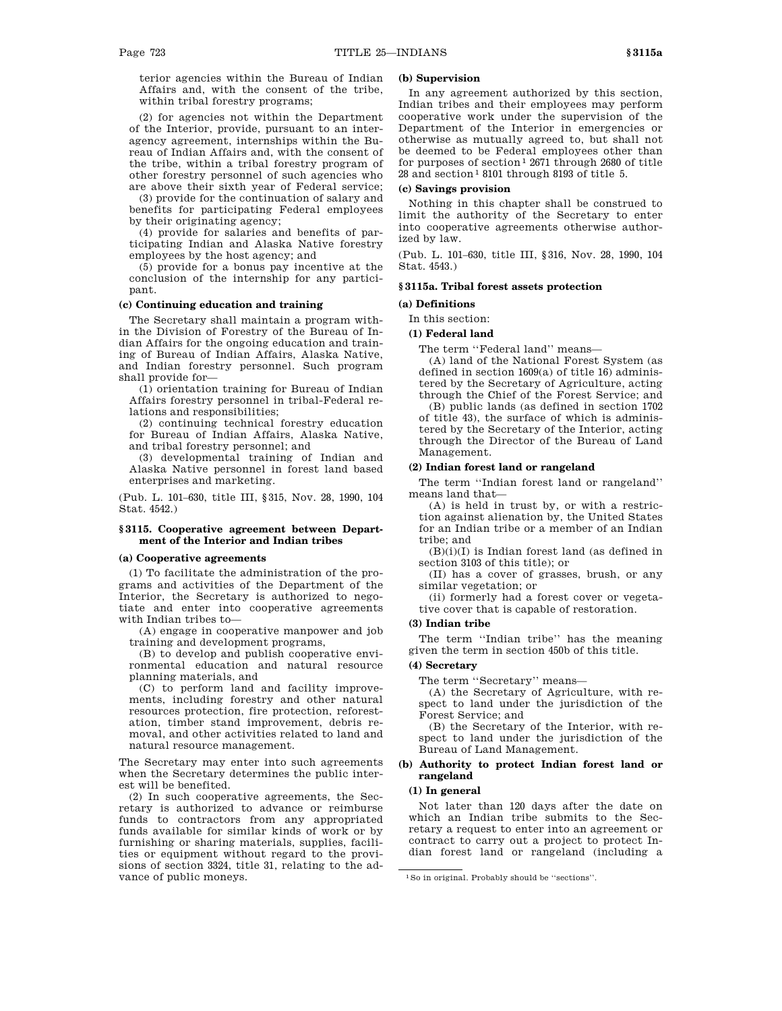terior agencies within the Bureau of Indian Affairs and, with the consent of the tribe, within tribal forestry programs;

(2) for agencies not within the Department of the Interior, provide, pursuant to an interagency agreement, internships within the Bureau of Indian Affairs and, with the consent of the tribe, within a tribal forestry program of other forestry personnel of such agencies who are above their sixth year of Federal service;

(3) provide for the continuation of salary and benefits for participating Federal employees by their originating agency;

(4) provide for salaries and benefits of participating Indian and Alaska Native forestry employees by the host agency; and

(5) provide for a bonus pay incentive at the conclusion of the internship for any participant.

### **(c) Continuing education and training**

The Secretary shall maintain a program within the Division of Forestry of the Bureau of Indian Affairs for the ongoing education and training of Bureau of Indian Affairs, Alaska Native, and Indian forestry personnel. Such program shall provide for—

(1) orientation training for Bureau of Indian Affairs forestry personnel in tribal-Federal relations and responsibilities;

(2) continuing technical forestry education for Bureau of Indian Affairs, Alaska Native, and tribal forestry personnel; and

(3) developmental training of Indian and Alaska Native personnel in forest land based enterprises and marketing.

(Pub. L. 101–630, title III, §315, Nov. 28, 1990, 104 Stat. 4542.)

### **§ 3115. Cooperative agreement between Department of the Interior and Indian tribes**

# **(a) Cooperative agreements**

(1) To facilitate the administration of the programs and activities of the Department of the Interior, the Secretary is authorized to negotiate and enter into cooperative agreements with Indian tribes to—

(A) engage in cooperative manpower and job training and development programs,

(B) to develop and publish cooperative environmental education and natural resource planning materials, and

(C) to perform land and facility improvements, including forestry and other natural resources protection, fire protection, reforestation, timber stand improvement, debris removal, and other activities related to land and natural resource management.

The Secretary may enter into such agreements when the Secretary determines the public interest will be benefited.

(2) In such cooperative agreements, the Secretary is authorized to advance or reimburse funds to contractors from any appropriated funds available for similar kinds of work or by furnishing or sharing materials, supplies, facilities or equipment without regard to the provisions of section 3324, title 31, relating to the advance of public moneys.

# **(b) Supervision**

In any agreement authorized by this section, Indian tribes and their employees may perform cooperative work under the supervision of the Department of the Interior in emergencies or otherwise as mutually agreed to, but shall not be deemed to be Federal employees other than for purposes of section<sup>1</sup> 2671 through 2680 of title  $28$  and section<sup>1</sup> 8101 through 8193 of title 5.

# **(c) Savings provision**

Nothing in this chapter shall be construed to limit the authority of the Secretary to enter into cooperative agreements otherwise authorized by law.

(Pub. L. 101–630, title III, §316, Nov. 28, 1990, 104 Stat. 4543.)

## **§ 3115a. Tribal forest assets protection**

### **(a) Definitions**

In this section:

# **(1) Federal land**

The term ''Federal land'' means—

(A) land of the National Forest System (as defined in section 1609(a) of title 16) administered by the Secretary of Agriculture, acting through the Chief of the Forest Service; and

(B) public lands (as defined in section 1702 of title 43), the surface of which is administered by the Secretary of the Interior, acting through the Director of the Bureau of Land Management.

### **(2) Indian forest land or rangeland**

The term ''Indian forest land or rangeland'' means land that—

(A) is held in trust by, or with a restriction against alienation by, the United States for an Indian tribe or a member of an Indian tribe; and

 $(B)(i)(I)$  is Indian forest land (as defined in section 3103 of this title); or

(II) has a cover of grasses, brush, or any similar vegetation; or

(ii) formerly had a forest cover or vegetative cover that is capable of restoration.

## **(3) Indian tribe**

The term ''Indian tribe'' has the meaning given the term in section 450b of this title.

#### **(4) Secretary**

The term ''Secretary'' means—

(A) the Secretary of Agriculture, with respect to land under the jurisdiction of the Forest Service; and

(B) the Secretary of the Interior, with respect to land under the jurisdiction of the Bureau of Land Management.

# **(b) Authority to protect Indian forest land or rangeland**

# **(1) In general**

Not later than 120 days after the date on which an Indian tribe submits to the Secretary a request to enter into an agreement or contract to carry out a project to protect Indian forest land or rangeland (including a

<sup>1</sup>So in original. Probably should be ''sections''.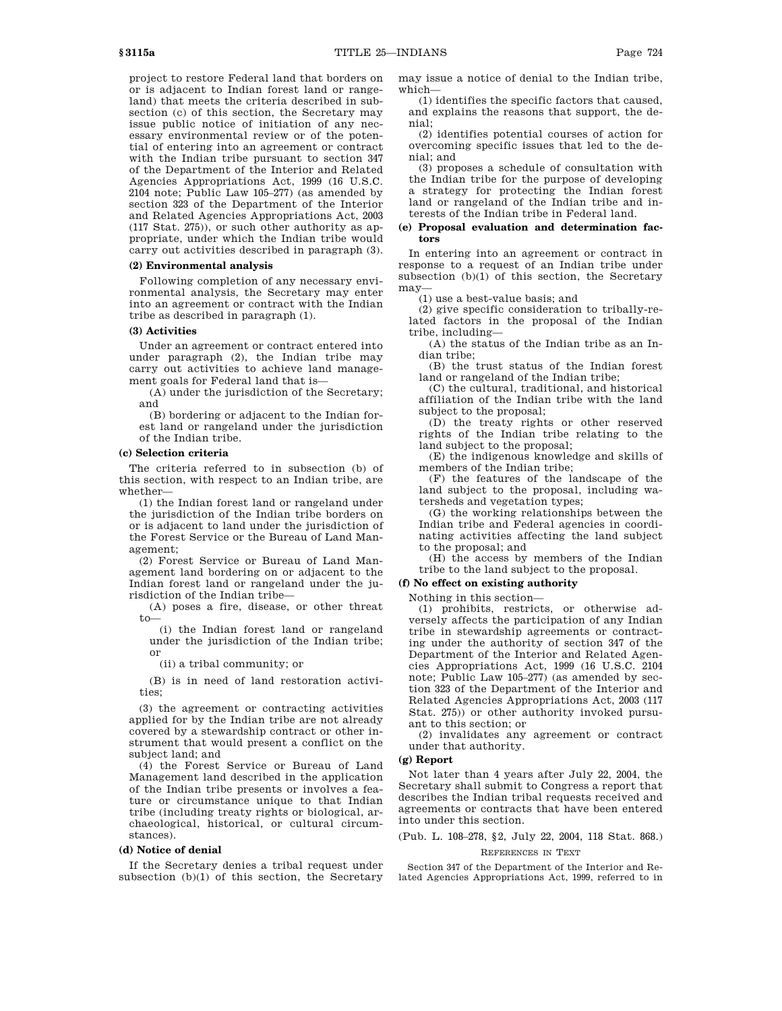project to restore Federal land that borders on or is adjacent to Indian forest land or rangeland) that meets the criteria described in subsection (c) of this section, the Secretary may issue public notice of initiation of any necessary environmental review or of the potential of entering into an agreement or contract with the Indian tribe pursuant to section 347 of the Department of the Interior and Related Agencies Appropriations Act, 1999 (16 U.S.C. 2104 note; Public Law 105–277) (as amended by section 323 of the Department of the Interior and Related Agencies Appropriations Act, 2003 (117 Stat. 275)), or such other authority as appropriate, under which the Indian tribe would carry out activities described in paragraph (3).

# **(2) Environmental analysis**

Following completion of any necessary environmental analysis, the Secretary may enter into an agreement or contract with the Indian tribe as described in paragraph (1).

# **(3) Activities**

Under an agreement or contract entered into under paragraph (2), the Indian tribe may carry out activities to achieve land management goals for Federal land that is—

(A) under the jurisdiction of the Secretary; and

(B) bordering or adjacent to the Indian forest land or rangeland under the jurisdiction of the Indian tribe.

### **(c) Selection criteria**

The criteria referred to in subsection (b) of this section, with respect to an Indian tribe, are whether—

(1) the Indian forest land or rangeland under the jurisdiction of the Indian tribe borders on or is adjacent to land under the jurisdiction of the Forest Service or the Bureau of Land Management;

(2) Forest Service or Bureau of Land Management land bordering on or adjacent to the Indian forest land or rangeland under the jurisdiction of the Indian tribe—

(A) poses a fire, disease, or other threat  $t_0$ 

(i) the Indian forest land or rangeland under the jurisdiction of the Indian tribe; or

(ii) a tribal community; or

(B) is in need of land restoration activities;

(3) the agreement or contracting activities applied for by the Indian tribe are not already covered by a stewardship contract or other instrument that would present a conflict on the subject land; and

(4) the Forest Service or Bureau of Land Management land described in the application of the Indian tribe presents or involves a feature or circumstance unique to that Indian tribe (including treaty rights or biological, archaeological, historical, or cultural circumstances).

### **(d) Notice of denial**

If the Secretary denies a tribal request under subsection (b)(1) of this section, the Secretary may issue a notice of denial to the Indian tribe, which—

(1) identifies the specific factors that caused, and explains the reasons that support, the denial;

(2) identifies potential courses of action for overcoming specific issues that led to the denial; and

(3) proposes a schedule of consultation with the Indian tribe for the purpose of developing a strategy for protecting the Indian forest land or rangeland of the Indian tribe and interests of the Indian tribe in Federal land.

### **(e) Proposal evaluation and determination factors**

In entering into an agreement or contract in response to a request of an Indian tribe under subsection (b)(1) of this section, the Secretary may—

(1) use a best-value basis; and

(2) give specific consideration to tribally-related factors in the proposal of the Indian tribe, including—

(A) the status of the Indian tribe as an Indian tribe;

(B) the trust status of the Indian forest land or rangeland of the Indian tribe;

(C) the cultural, traditional, and historical affiliation of the Indian tribe with the land subject to the proposal;

(D) the treaty rights or other reserved rights of the Indian tribe relating to the land subject to the proposal;

(E) the indigenous knowledge and skills of members of the Indian tribe;

(F) the features of the landscape of the land subject to the proposal, including watersheds and vegetation types;

(G) the working relationships between the Indian tribe and Federal agencies in coordinating activities affecting the land subject to the proposal; and

(H) the access by members of the Indian tribe to the land subject to the proposal.

### **(f) No effect on existing authority**

Nothing in this section—

(1) prohibits, restricts, or otherwise adversely affects the participation of any Indian tribe in stewardship agreements or contracting under the authority of section 347 of the Department of the Interior and Related Agencies Appropriations Act, 1999 (16 U.S.C. 2104 note; Public Law 105–277) (as amended by section 323 of the Department of the Interior and Related Agencies Appropriations Act, 2003 (117 Stat. 275)) or other authority invoked pursuant to this section; or

(2) invalidates any agreement or contract under that authority.

### **(g) Report**

Not later than 4 years after July 22, 2004, the Secretary shall submit to Congress a report that describes the Indian tribal requests received and agreements or contracts that have been entered into under this section.

(Pub. L. 108–278, §2, July 22, 2004, 118 Stat. 868.)

### REFERENCES IN TEXT

Section 347 of the Department of the Interior and Related Agencies Appropriations Act, 1999, referred to in